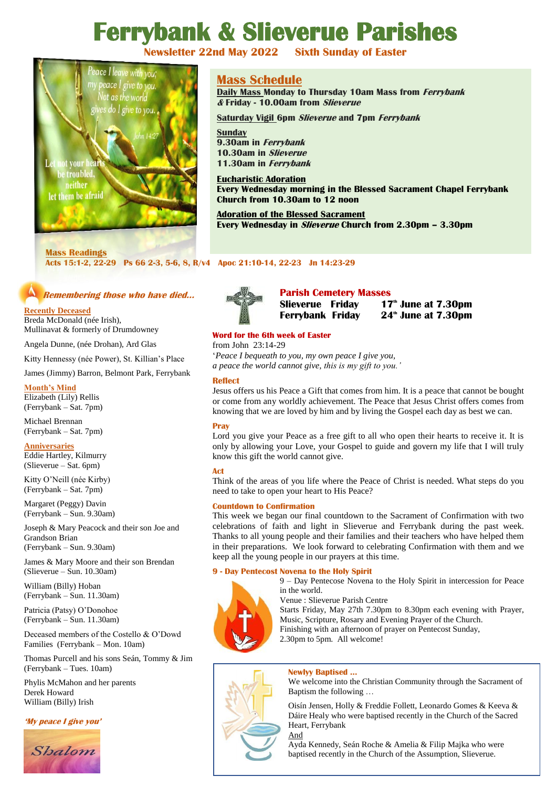# **Ferrybank & Slieverue Parishes**



# **Mass Schedule**

**Daily Mass Monday to Thursday 10am Mass from Ferrybank & Friday - 10.00am from Slieverue**

**Saturday Vigil 6pm Slieverue and 7pm Ferrybank** 

**Sunday 9.30am in Ferrybank 10.30am in Slieverue 11.30am in Ferrybank**

**Eucharistic Adoration Every Wednesday morning in the Blessed Sacrament Chapel Ferrybank Church from 10.30am to 12 noon**

**Adoration of the Blessed Sacrament Every Wednesday in Slieverue Church from 2.30pm – 3.30pm**

# **Mass Readings**

**Acts 15:1-2, 22-29 Ps 66 2-3, 5-6, 8, R/v4 Apoc 21:10-14, 22-23 Jn 14:23-29**

# **Remembering those who have died…**

# **Recently Deceased**

Breda McDonald (née Irish), Mullinavat & formerly of Drumdowney

Angela Dunne, (née Drohan), Ard Glas

Kitty Hennessy (née Power), St. Killian's Place

James (Jimmy) Barron, Belmont Park, Ferrybank

# **Month's Mind**

Elizabeth (Lily) Rellis (Ferrybank – Sat. 7pm)

Michael Brennan (Ferrybank – Sat. 7pm)

#### **Anniversaries** Eddie Hartley, Kilmurry

(Slieverue – Sat. 6pm) Kitty O'Neill (née Kirby) (Ferrybank – Sat. 7pm)

Margaret (Peggy) Davin (Ferrybank – Sun. 9.30am)

Joseph & Mary Peacock and their son Joe and Grandson Brian (Ferrybank – Sun. 9.30am)

James & Mary Moore and their son Brendan (Slieverue – Sun. 10.30am)

William (Billy) Hoban (Ferrybank – Sun. 11.30am)

Patricia (Patsy) O'Donohoe (Ferrybank – Sun. 11.30am)

Deceased members of the Costello & O'Dowd Families (Ferrybank – Mon. 10am)

Thomas Purcell and his sons Seán, Tommy & Jim (Ferrybank – Tues. 10am)

Phylis McMahon and her parents Derek Howard William (Billy) Irish

# **'My peace I give you'**





**Parish Cemetery Masses**

 **Ferrybank Friday 24th June at 7.30pm**

# **Word for the 6th week of Easter**

from John 23:14-29 '*Peace I bequeath to you, my own peace I give you, a peace the world cannot give, this is my gift to you.'*

# **Reflect**

Jesus offers us his Peace a Gift that comes from him. It is a peace that cannot be bought or come from any worldly achievement. The Peace that Jesus Christ offers comes from knowing that we are loved by him and by living the Gospel each day as best we can.

# **Pray**

Lord you give your Peace as a free gift to all who open their hearts to receive it. It is only by allowing your Love, your Gospel to guide and govern my life that I will truly know this gift the world cannot give.

# **Act**

Think of the areas of you life where the Peace of Christ is needed. What steps do you need to take to open your heart to His Peace?

# **Countdown to Confirmation**

This week we began our final countdown to the Sacrament of Confirmation with two celebrations of faith and light in Slieverue and Ferrybank during the past week. Thanks to all young people and their families and their teachers who have helped them in their preparations. We look forward to celebrating Confirmation with them and we keep all the young people in our prayers at this time.

# **9 - Day Pentecost Novena to the Holy Spirit**



9 – Day Pentecose Novena to the Holy Spirit in intercession for Peace in the world.

Venue : Slieverue Parish Centre

Starts Friday, May 27th 7.30pm to 8.30pm each evening with Prayer, Music, Scripture, Rosary and Evening Prayer of the Church. Finishing with an afternoon of prayer on Pentecost Sunday,

2.30pm to 5pm. All welcome!

# **Newlyy Baptised …**

We welcome into the Christian Community through the Sacrament of Baptism the following …

Oisín Jensen, Holly & Freddie Follett, Leonardo Gomes & Keeva & Dáire Healy who were baptised recently in the Church of the Sacred Heart, Ferrybank And

Ayda Kennedy, Seán Roche & Amelia & Filip Majka who were baptised recently in the Church of the Assumption, Slieverue.